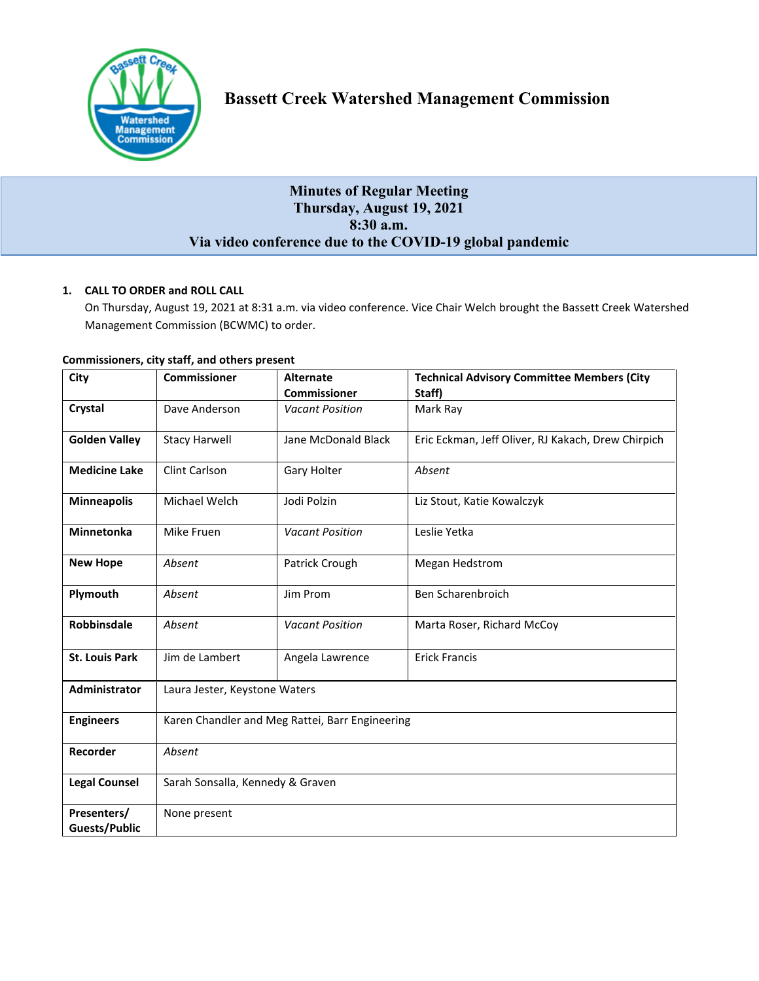

# **Minutes of Regular Meeting Thursday, August 19, 2021 8:30 a.m. Via video conference due to the COVID-19 global pandemic**

# **1. CALL TO ORDER and ROLL CALL**

On Thursday, August 19, 2021 at 8:31 a.m. via video conference. Vice Chair Welch brought the Bassett Creek Watershed Management Commission (BCWMC) to order.

| City                                | <b>Commissioner</b>                             | <b>Alternate</b>       | <b>Technical Advisory Committee Members (City</b>  |  |
|-------------------------------------|-------------------------------------------------|------------------------|----------------------------------------------------|--|
|                                     |                                                 | <b>Commissioner</b>    | Staff)                                             |  |
| Crystal                             | Dave Anderson                                   | <b>Vacant Position</b> | Mark Ray                                           |  |
| <b>Golden Valley</b>                | <b>Stacy Harwell</b>                            | Jane McDonald Black    | Eric Eckman, Jeff Oliver, RJ Kakach, Drew Chirpich |  |
| <b>Medicine Lake</b>                | Clint Carlson                                   | Gary Holter            | Absent                                             |  |
| <b>Minneapolis</b>                  | Michael Welch                                   | Jodi Polzin            | Liz Stout, Katie Kowalczyk                         |  |
| <b>Minnetonka</b>                   | Mike Fruen                                      | <b>Vacant Position</b> | Leslie Yetka                                       |  |
| <b>New Hope</b>                     | Absent                                          | Patrick Crough         | Megan Hedstrom                                     |  |
| Plymouth                            | Absent                                          | Jim Prom               | Ben Scharenbroich                                  |  |
| Robbinsdale                         | Absent                                          | <b>Vacant Position</b> | Marta Roser, Richard McCoy                         |  |
| <b>St. Louis Park</b>               | Jim de Lambert                                  | Angela Lawrence        | <b>Erick Francis</b>                               |  |
| Administrator                       | Laura Jester, Keystone Waters                   |                        |                                                    |  |
| <b>Engineers</b>                    | Karen Chandler and Meg Rattei, Barr Engineering |                        |                                                    |  |
| Recorder                            | Absent                                          |                        |                                                    |  |
| <b>Legal Counsel</b>                | Sarah Sonsalla, Kennedy & Graven                |                        |                                                    |  |
| Presenters/<br><b>Guests/Public</b> | None present                                    |                        |                                                    |  |

# **Commissioners, city staff, and others present**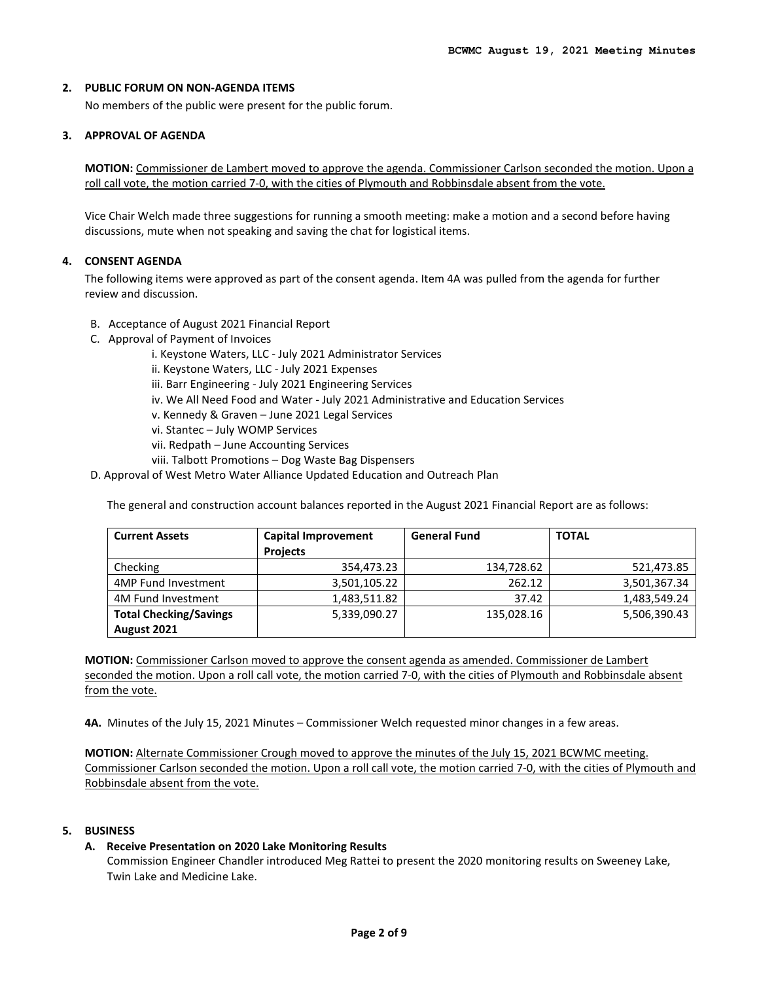# **2. PUBLIC FORUM ON NON-AGENDA ITEMS**

No members of the public were present for the public forum.

# **3. APPROVAL OF AGENDA**

**MOTION:** Commissioner de Lambert moved to approve the agenda. Commissioner Carlson seconded the motion. Upon a roll call vote, the motion carried 7-0, with the cities of Plymouth and Robbinsdale absent from the vote.

Vice Chair Welch made three suggestions for running a smooth meeting: make a motion and a second before having discussions, mute when not speaking and saving the chat for logistical items.

# **4. CONSENT AGENDA**

The following items were approved as part of the consent agenda. Item 4A was pulled from the agenda for further review and discussion.

- B. Acceptance of August 2021 Financial Report
- C. Approval of Payment of Invoices
	- i. Keystone Waters, LLC July 2021 Administrator Services
	- ii. Keystone Waters, LLC July 2021 Expenses
	- iii. Barr Engineering July 2021 Engineering Services
	- iv. We All Need Food and Water July 2021 Administrative and Education Services
	- v. Kennedy & Graven June 2021 Legal Services
	- vi. Stantec July WOMP Services
	- vii. Redpath June Accounting Services
	- viii. Talbott Promotions Dog Waste Bag Dispensers
- D. Approval of West Metro Water Alliance Updated Education and Outreach Plan

The general and construction account balances reported in the August 2021 Financial Report are as follows:

| <b>Current Assets</b>         | Capital Improvement<br><b>Projects</b> | <b>General Fund</b> | <b>TOTAL</b> |
|-------------------------------|----------------------------------------|---------------------|--------------|
| Checking                      | 354,473.23                             | 134,728.62          | 521,473.85   |
| 4MP Fund Investment           | 3,501,105.22                           | 262.12              | 3,501,367.34 |
| 4M Fund Investment            | 1,483,511.82                           | 37.42               | 1,483,549.24 |
| <b>Total Checking/Savings</b> | 5,339,090.27                           | 135,028.16          | 5,506,390.43 |
| August 2021                   |                                        |                     |              |

**MOTION:** Commissioner Carlson moved to approve the consent agenda as amended. Commissioner de Lambert seconded the motion. Upon a roll call vote, the motion carried 7-0, with the cities of Plymouth and Robbinsdale absent from the vote.

**4A.** Minutes of the July 15, 2021 Minutes – Commissioner Welch requested minor changes in a few areas.

**MOTION:** Alternate Commissioner Crough moved to approve the minutes of the July 15, 2021 BCWMC meeting. Commissioner Carlson seconded the motion. Upon a roll call vote, the motion carried 7-0, with the cities of Plymouth and Robbinsdale absent from the vote.

# **5. BUSINESS**

## **A. Receive Presentation on 2020 Lake Monitoring Results**

Commission Engineer Chandler introduced Meg Rattei to present the 2020 monitoring results on Sweeney Lake, Twin Lake and Medicine Lake.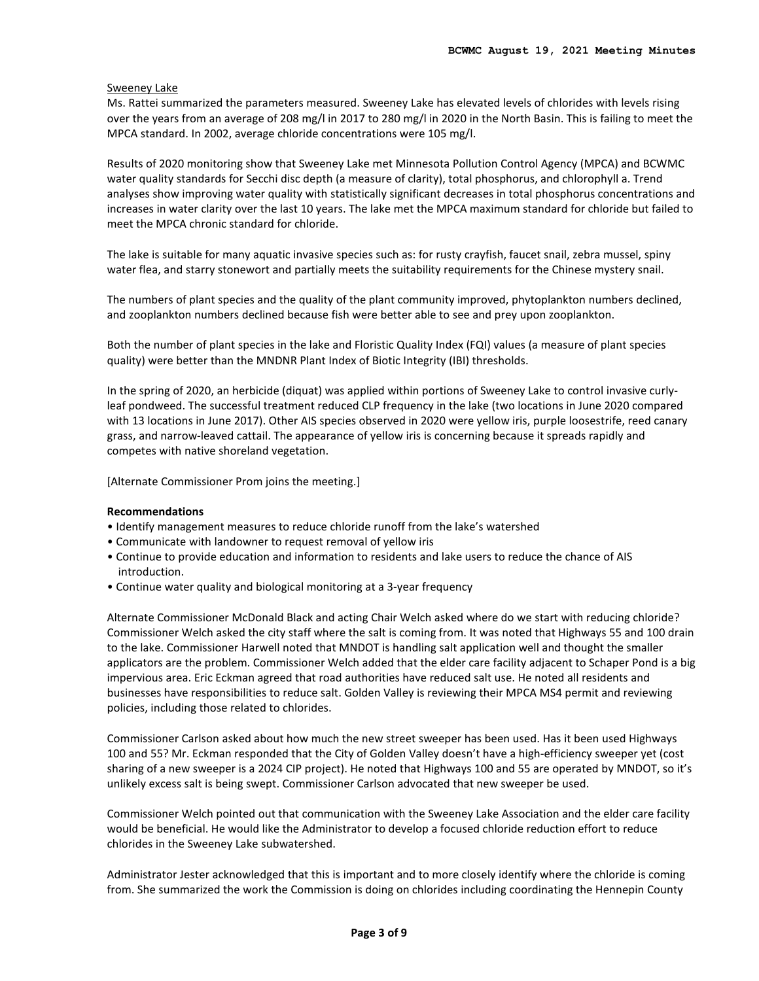# Sweeney Lake

Ms. Rattei summarized the parameters measured. Sweeney Lake has elevated levels of chlorides with levels rising over the years from an average of 208 mg/l in 2017 to 280 mg/l in 2020 in the North Basin. This is failing to meet the MPCA standard. In 2002, average chloride concentrations were 105 mg/l.

Results of 2020 monitoring show that Sweeney Lake met Minnesota Pollution Control Agency (MPCA) and BCWMC water quality standards for Secchi disc depth (a measure of clarity), total phosphorus, and chlorophyll a. Trend analyses show improving water quality with statistically significant decreases in total phosphorus concentrations and increases in water clarity over the last 10 years. The lake met the MPCA maximum standard for chloride but failed to meet the MPCA chronic standard for chloride.

The lake is suitable for many aquatic invasive species such as: for rusty crayfish, faucet snail, zebra mussel, spiny water flea, and starry stonewort and partially meets the suitability requirements for the Chinese mystery snail.

The numbers of plant species and the quality of the plant community improved, phytoplankton numbers declined, and zooplankton numbers declined because fish were better able to see and prey upon zooplankton.

Both the number of plant species in the lake and Floristic Quality Index (FQI) values (a measure of plant species quality) were better than the MNDNR Plant Index of Biotic Integrity (IBI) thresholds.

In the spring of 2020, an herbicide (diquat) was applied within portions of Sweeney Lake to control invasive curlyleaf pondweed. The successful treatment reduced CLP frequency in the lake (two locations in June 2020 compared with 13 locations in June 2017). Other AIS species observed in 2020 were yellow iris, purple loosestrife, reed canary grass, and narrow-leaved cattail. The appearance of yellow iris is concerning because it spreads rapidly and competes with native shoreland vegetation.

[Alternate Commissioner Prom joins the meeting.]

## **Recommendations**

- Identify management measures to reduce chloride runoff from the lake's watershed
- Communicate with landowner to request removal of yellow iris
- Continue to provide education and information to residents and lake users to reduce the chance of AIS introduction.
- Continue water quality and biological monitoring at a 3-year frequency

Alternate Commissioner McDonald Black and acting Chair Welch asked where do we start with reducing chloride? Commissioner Welch asked the city staff where the salt is coming from. It was noted that Highways 55 and 100 drain to the lake. Commissioner Harwell noted that MNDOT is handling salt application well and thought the smaller applicators are the problem. Commissioner Welch added that the elder care facility adjacent to Schaper Pond is a big impervious area. Eric Eckman agreed that road authorities have reduced salt use. He noted all residents and businesses have responsibilities to reduce salt. Golden Valley is reviewing their MPCA MS4 permit and reviewing policies, including those related to chlorides.

Commissioner Carlson asked about how much the new street sweeper has been used. Has it been used Highways 100 and 55? Mr. Eckman responded that the City of Golden Valley doesn't have a high-efficiency sweeper yet (cost sharing of a new sweeper is a 2024 CIP project). He noted that Highways 100 and 55 are operated by MNDOT, so it's unlikely excess salt is being swept. Commissioner Carlson advocated that new sweeper be used.

Commissioner Welch pointed out that communication with the Sweeney Lake Association and the elder care facility would be beneficial. He would like the Administrator to develop a focused chloride reduction effort to reduce chlorides in the Sweeney Lake subwatershed.

Administrator Jester acknowledged that this is important and to more closely identify where the chloride is coming from. She summarized the work the Commission is doing on chlorides including coordinating the Hennepin County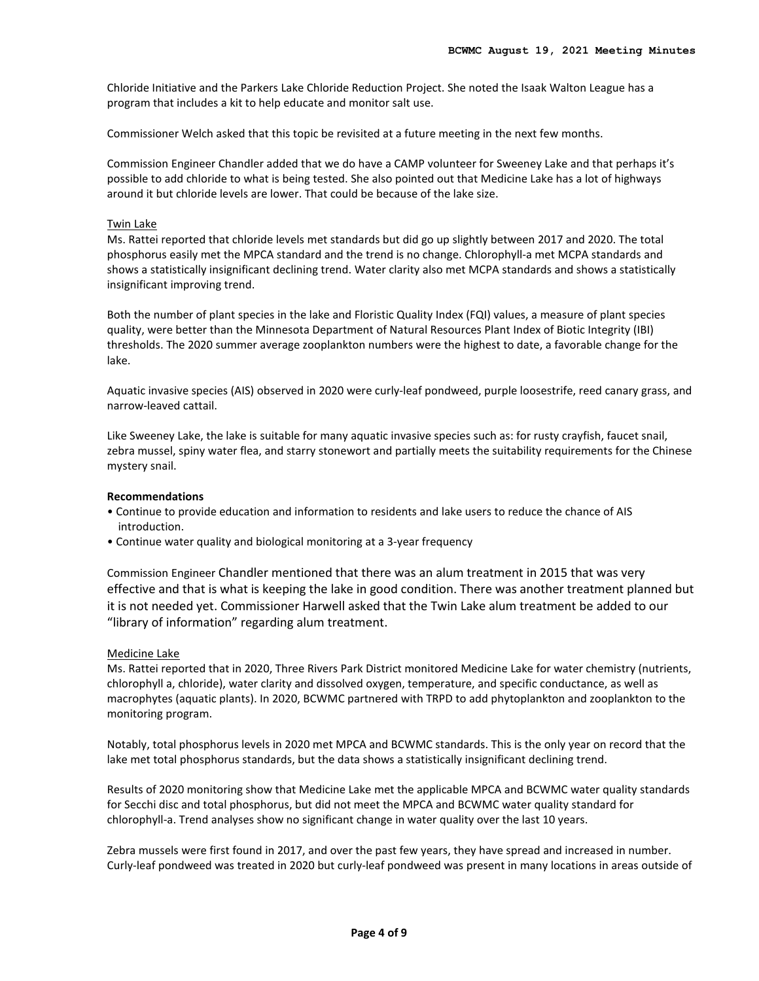Chloride Initiative and the Parkers Lake Chloride Reduction Project. She noted the Isaak Walton League has a program that includes a kit to help educate and monitor salt use.

Commissioner Welch asked that this topic be revisited at a future meeting in the next few months.

Commission Engineer Chandler added that we do have a CAMP volunteer for Sweeney Lake and that perhaps it's possible to add chloride to what is being tested. She also pointed out that Medicine Lake has a lot of highways around it but chloride levels are lower. That could be because of the lake size.

## Twin Lake

Ms. Rattei reported that chloride levels met standards but did go up slightly between 2017 and 2020. The total phosphorus easily met the MPCA standard and the trend is no change. Chlorophyll-a met MCPA standards and shows a statistically insignificant declining trend. Water clarity also met MCPA standards and shows a statistically insignificant improving trend.

Both the number of plant species in the lake and Floristic Quality Index (FQI) values, a measure of plant species quality, were better than the Minnesota Department of Natural Resources Plant Index of Biotic Integrity (IBI) thresholds. The 2020 summer average zooplankton numbers were the highest to date, a favorable change for the lake.

Aquatic invasive species (AIS) observed in 2020 were curly-leaf pondweed, purple loosestrife, reed canary grass, and narrow-leaved cattail.

Like Sweeney Lake, the lake is suitable for many aquatic invasive species such as: for rusty crayfish, faucet snail, zebra mussel, spiny water flea, and starry stonewort and partially meets the suitability requirements for the Chinese mystery snail.

#### **Recommendations**

- Continue to provide education and information to residents and lake users to reduce the chance of AIS introduction.
- Continue water quality and biological monitoring at a 3-year frequency

Commission Engineer Chandler mentioned that there was an alum treatment in 2015 that was very effective and that is what is keeping the lake in good condition. There was another treatment planned but it is not needed yet. Commissioner Harwell asked that the Twin Lake alum treatment be added to our "library of information" regarding alum treatment.

#### Medicine Lake

Ms. Rattei reported that in 2020, Three Rivers Park District monitored Medicine Lake for water chemistry (nutrients, chlorophyll a, chloride), water clarity and dissolved oxygen, temperature, and specific conductance, as well as macrophytes (aquatic plants). In 2020, BCWMC partnered with TRPD to add phytoplankton and zooplankton to the monitoring program.

Notably, total phosphorus levels in 2020 met MPCA and BCWMC standards. This is the only year on record that the lake met total phosphorus standards, but the data shows a statistically insignificant declining trend.

Results of 2020 monitoring show that Medicine Lake met the applicable MPCA and BCWMC water quality standards for Secchi disc and total phosphorus, but did not meet the MPCA and BCWMC water quality standard for chlorophyll-a. Trend analyses show no significant change in water quality over the last 10 years.

Zebra mussels were first found in 2017, and over the past few years, they have spread and increased in number. Curly-leaf pondweed was treated in 2020 but curly-leaf pondweed was present in many locations in areas outside of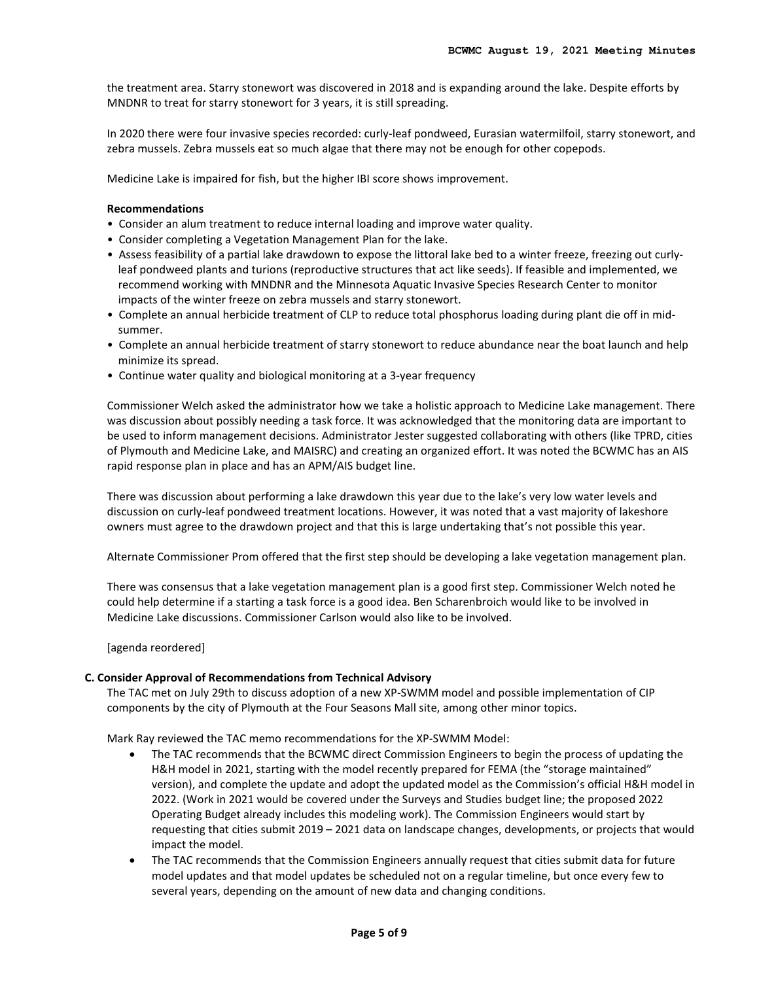the treatment area. Starry stonewort was discovered in 2018 and is expanding around the lake. Despite efforts by MNDNR to treat for starry stonewort for 3 years, it is still spreading.

In 2020 there were four invasive species recorded: curly-leaf pondweed, Eurasian watermilfoil, starry stonewort, and zebra mussels. Zebra mussels eat so much algae that there may not be enough for other copepods.

Medicine Lake is impaired for fish, but the higher IBI score shows improvement.

### **Recommendations**

- Consider an alum treatment to reduce internal loading and improve water quality.
- Consider completing a Vegetation Management Plan for the lake.
- Assess feasibility of a partial lake drawdown to expose the littoral lake bed to a winter freeze, freezing out curlyleaf pondweed plants and turions (reproductive structures that act like seeds). If feasible and implemented, we recommend working with MNDNR and the Minnesota Aquatic Invasive Species Research Center to monitor impacts of the winter freeze on zebra mussels and starry stonewort.
- Complete an annual herbicide treatment of CLP to reduce total phosphorus loading during plant die off in midsummer.
- Complete an annual herbicide treatment of starry stonewort to reduce abundance near the boat launch and help minimize its spread.
- Continue water quality and biological monitoring at a 3-year frequency

Commissioner Welch asked the administrator how we take a holistic approach to Medicine Lake management. There was discussion about possibly needing a task force. It was acknowledged that the monitoring data are important to be used to inform management decisions. Administrator Jester suggested collaborating with others (like TPRD, cities of Plymouth and Medicine Lake, and MAISRC) and creating an organized effort. It was noted the BCWMC has an AIS rapid response plan in place and has an APM/AIS budget line.

There was discussion about performing a lake drawdown this year due to the lake's very low water levels and discussion on curly-leaf pondweed treatment locations. However, it was noted that a vast majority of lakeshore owners must agree to the drawdown project and that this is large undertaking that's not possible this year.

Alternate Commissioner Prom offered that the first step should be developing a lake vegetation management plan.

There was consensus that a lake vegetation management plan is a good first step. Commissioner Welch noted he could help determine if a starting a task force is a good idea. Ben Scharenbroich would like to be involved in Medicine Lake discussions. Commissioner Carlson would also like to be involved.

[agenda reordered]

#### **C. Consider Approval of Recommendations from Technical Advisory**

The TAC met on July 29th to discuss adoption of a new XP-SWMM model and possible implementation of CIP components by the city of Plymouth at the Four Seasons Mall site, among other minor topics.

Mark Ray reviewed the TAC memo recommendations for the XP-SWMM Model:

- The TAC recommends that the BCWMC direct Commission Engineers to begin the process of updating the H&H model in 2021, starting with the model recently prepared for FEMA (the "storage maintained" version), and complete the update and adopt the updated model as the Commission's official H&H model in 2022. (Work in 2021 would be covered under the Surveys and Studies budget line; the proposed 2022 Operating Budget already includes this modeling work). The Commission Engineers would start by requesting that cities submit 2019 – 2021 data on landscape changes, developments, or projects that would impact the model.
- The TAC recommends that the Commission Engineers annually request that cities submit data for future model updates and that model updates be scheduled not on a regular timeline, but once every few to several years, depending on the amount of new data and changing conditions.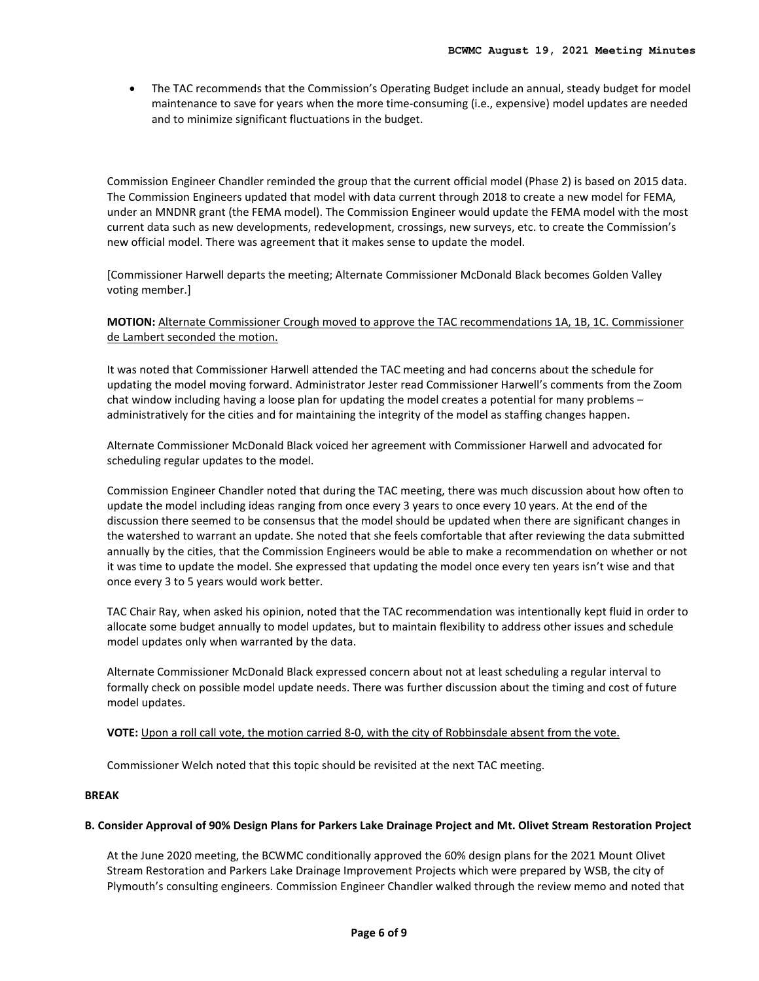• The TAC recommends that the Commission's Operating Budget include an annual, steady budget for model maintenance to save for years when the more time-consuming (i.e., expensive) model updates are needed and to minimize significant fluctuations in the budget.

Commission Engineer Chandler reminded the group that the current official model (Phase 2) is based on 2015 data. The Commission Engineers updated that model with data current through 2018 to create a new model for FEMA, under an MNDNR grant (the FEMA model). The Commission Engineer would update the FEMA model with the most current data such as new developments, redevelopment, crossings, new surveys, etc. to create the Commission's new official model. There was agreement that it makes sense to update the model.

[Commissioner Harwell departs the meeting; Alternate Commissioner McDonald Black becomes Golden Valley voting member.]

**MOTION:** Alternate Commissioner Crough moved to approve the TAC recommendations 1A, 1B, 1C. Commissioner de Lambert seconded the motion.

It was noted that Commissioner Harwell attended the TAC meeting and had concerns about the schedule for updating the model moving forward. Administrator Jester read Commissioner Harwell's comments from the Zoom chat window including having a loose plan for updating the model creates a potential for many problems – administratively for the cities and for maintaining the integrity of the model as staffing changes happen.

Alternate Commissioner McDonald Black voiced her agreement with Commissioner Harwell and advocated for scheduling regular updates to the model.

Commission Engineer Chandler noted that during the TAC meeting, there was much discussion about how often to update the model including ideas ranging from once every 3 years to once every 10 years. At the end of the discussion there seemed to be consensus that the model should be updated when there are significant changes in the watershed to warrant an update. She noted that she feels comfortable that after reviewing the data submitted annually by the cities, that the Commission Engineers would be able to make a recommendation on whether or not it was time to update the model. She expressed that updating the model once every ten years isn't wise and that once every 3 to 5 years would work better.

TAC Chair Ray, when asked his opinion, noted that the TAC recommendation was intentionally kept fluid in order to allocate some budget annually to model updates, but to maintain flexibility to address other issues and schedule model updates only when warranted by the data.

Alternate Commissioner McDonald Black expressed concern about not at least scheduling a regular interval to formally check on possible model update needs. There was further discussion about the timing and cost of future model updates.

## **VOTE:** Upon a roll call vote, the motion carried 8-0, with the city of Robbinsdale absent from the vote.

Commissioner Welch noted that this topic should be revisited at the next TAC meeting.

## **BREAK**

## **B. Consider Approval of 90% Design Plans for Parkers Lake Drainage Project and Mt. Olivet Stream Restoration Project**

At the June 2020 meeting, the BCWMC conditionally approved the 60% design plans for the 2021 Mount Olivet Stream Restoration and Parkers Lake Drainage Improvement Projects which were prepared by WSB, the city of Plymouth's consulting engineers. Commission Engineer Chandler walked through the review memo and noted that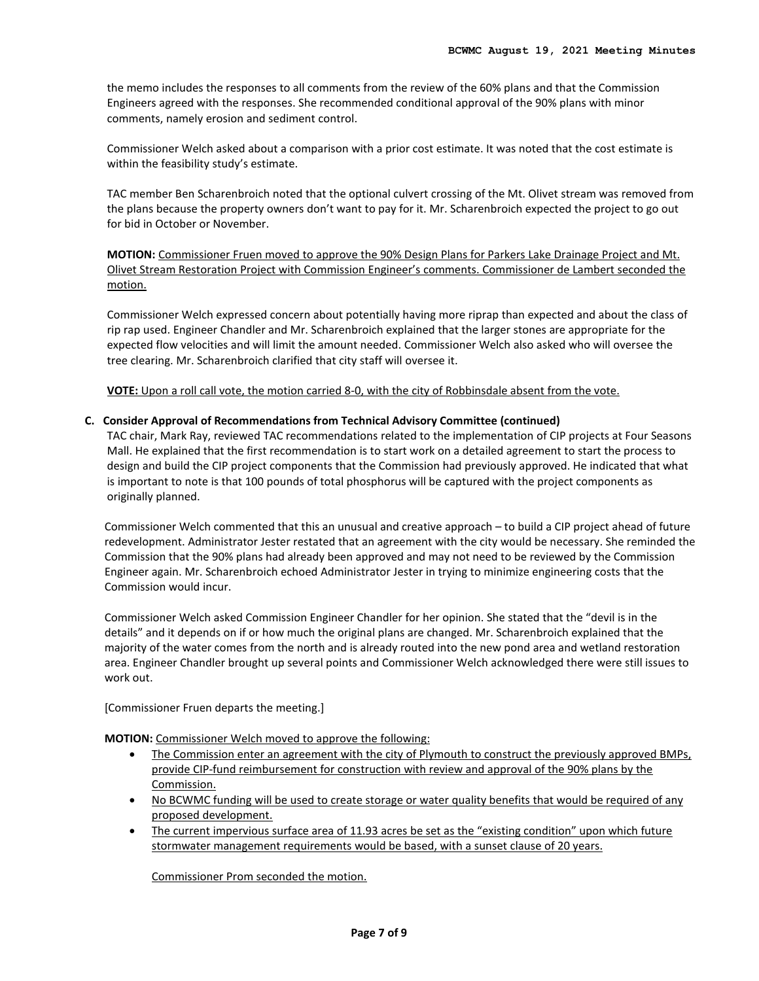the memo includes the responses to all comments from the review of the 60% plans and that the Commission Engineers agreed with the responses. She recommended conditional approval of the 90% plans with minor comments, namely erosion and sediment control.

Commissioner Welch asked about a comparison with a prior cost estimate. It was noted that the cost estimate is within the feasibility study's estimate.

TAC member Ben Scharenbroich noted that the optional culvert crossing of the Mt. Olivet stream was removed from the plans because the property owners don't want to pay for it. Mr. Scharenbroich expected the project to go out for bid in October or November.

**MOTION:** Commissioner Fruen moved to approve the 90% Design Plans for Parkers Lake Drainage Project and Mt. Olivet Stream Restoration Project with Commission Engineer's comments. Commissioner de Lambert seconded the motion.

Commissioner Welch expressed concern about potentially having more riprap than expected and about the class of rip rap used. Engineer Chandler and Mr. Scharenbroich explained that the larger stones are appropriate for the expected flow velocities and will limit the amount needed. Commissioner Welch also asked who will oversee the tree clearing. Mr. Scharenbroich clarified that city staff will oversee it.

**VOTE:** Upon a roll call vote, the motion carried 8-0, with the city of Robbinsdale absent from the vote.

# **C. Consider Approval of Recommendations from Technical Advisory Committee (continued)**

TAC chair, Mark Ray, reviewed TAC recommendations related to the implementation of CIP projects at Four Seasons Mall. He explained that the first recommendation is to start work on a detailed agreement to start the process to design and build the CIP project components that the Commission had previously approved. He indicated that what is important to note is that 100 pounds of total phosphorus will be captured with the project components as originally planned.

Commissioner Welch commented that this an unusual and creative approach – to build a CIP project ahead of future redevelopment. Administrator Jester restated that an agreement with the city would be necessary. She reminded the Commission that the 90% plans had already been approved and may not need to be reviewed by the Commission Engineer again. Mr. Scharenbroich echoed Administrator Jester in trying to minimize engineering costs that the Commission would incur.

Commissioner Welch asked Commission Engineer Chandler for her opinion. She stated that the "devil is in the details" and it depends on if or how much the original plans are changed. Mr. Scharenbroich explained that the majority of the water comes from the north and is already routed into the new pond area and wetland restoration area. Engineer Chandler brought up several points and Commissioner Welch acknowledged there were still issues to work out.

[Commissioner Fruen departs the meeting.]

**MOTION:** Commissioner Welch moved to approve the following:

- The Commission enter an agreement with the city of Plymouth to construct the previously approved BMPs, provide CIP-fund reimbursement for construction with review and approval of the 90% plans by the Commission.
- No BCWMC funding will be used to create storage or water quality benefits that would be required of any proposed development.
- The current impervious surface area of 11.93 acres be set as the "existing condition" upon which future stormwater management requirements would be based, with a sunset clause of 20 years.

Commissioner Prom seconded the motion.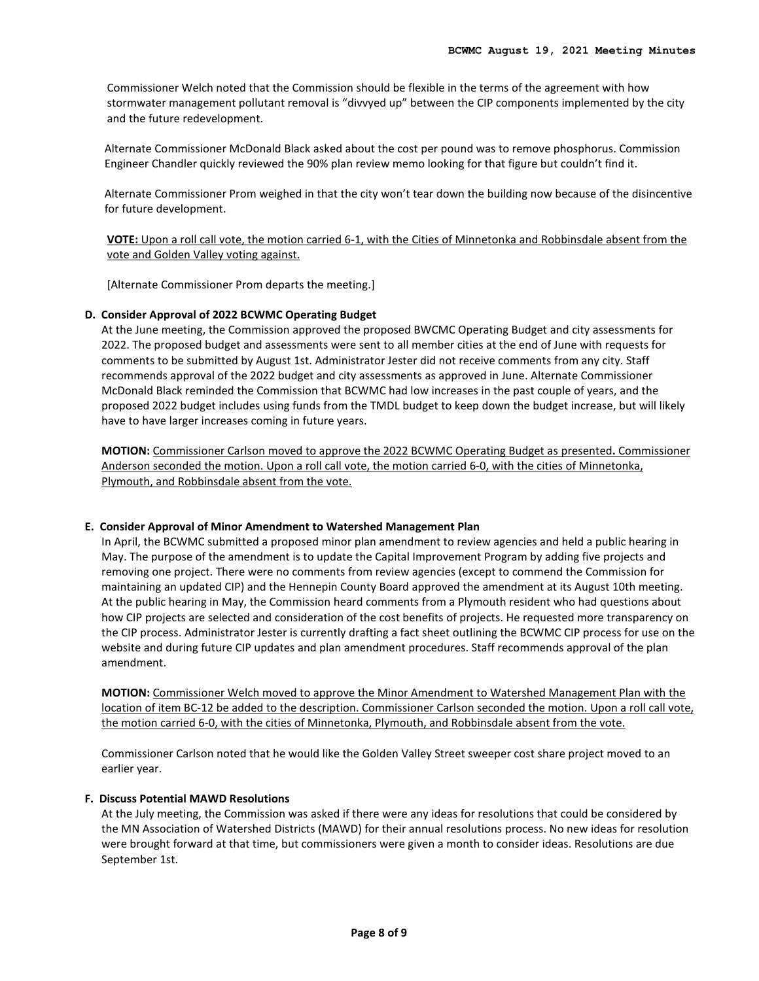Commissioner Welch noted that the Commission should be flexible in the terms of the agreement with how stormwater management pollutant removal is "divvyed up" between the CIP components implemented by the city and the future redevelopment.

Alternate Commissioner McDonald Black asked about the cost per pound was to remove phosphorus. Commission Engineer Chandler quickly reviewed the 90% plan review memo looking for that figure but couldn't find it.

Alternate Commissioner Prom weighed in that the city won't tear down the building now because of the disincentive for future development.

**VOTE:** Upon a roll call vote, the motion carried 6-1, with the Cities of Minnetonka and Robbinsdale absent from the vote and Golden Valley voting against.

[Alternate Commissioner Prom departs the meeting.]

# **D. Consider Approval of 2022 BCWMC Operating Budget**

At the June meeting, the Commission approved the proposed BWCMC Operating Budget and city assessments for 2022. The proposed budget and assessments were sent to all member cities at the end of June with requests for comments to be submitted by August 1st. Administrator Jester did not receive comments from any city. Staff recommends approval of the 2022 budget and city assessments as approved in June. Alternate Commissioner McDonald Black reminded the Commission that BCWMC had low increases in the past couple of years, and the proposed 2022 budget includes using funds from the TMDL budget to keep down the budget increase, but will likely have to have larger increases coming in future years.

**MOTION:** Commissioner Carlson moved to approve the 2022 BCWMC Operating Budget as presented**.** Commissioner Anderson seconded the motion. Upon a roll call vote, the motion carried 6-0, with the cities of Minnetonka, Plymouth, and Robbinsdale absent from the vote.

## **E. Consider Approval of Minor Amendment to Watershed Management Plan**

In April, the BCWMC submitted a proposed minor plan amendment to review agencies and held a public hearing in May. The purpose of the amendment is to update the Capital Improvement Program by adding five projects and removing one project. There were no comments from review agencies (except to commend the Commission for maintaining an updated CIP) and the Hennepin County Board approved the amendment at its August 10th meeting. At the public hearing in May, the Commission heard comments from a Plymouth resident who had questions about how CIP projects are selected and consideration of the cost benefits of projects. He requested more transparency on the CIP process. Administrator Jester is currently drafting a fact sheet outlining the BCWMC CIP process for use on the website and during future CIP updates and plan amendment procedures. Staff recommends approval of the plan amendment.

**MOTION:** Commissioner Welch moved to approve the Minor Amendment to Watershed Management Plan with the location of item BC-12 be added to the description. Commissioner Carlson seconded the motion. Upon a roll call vote, the motion carried 6-0, with the cities of Minnetonka, Plymouth, and Robbinsdale absent from the vote.

Commissioner Carlson noted that he would like the Golden Valley Street sweeper cost share project moved to an earlier year.

## **F. Discuss Potential MAWD Resolutions**

At the July meeting, the Commission was asked if there were any ideas for resolutions that could be considered by the MN Association of Watershed Districts (MAWD) for their annual resolutions process. No new ideas for resolution were brought forward at that time, but commissioners were given a month to consider ideas. Resolutions are due September 1st.